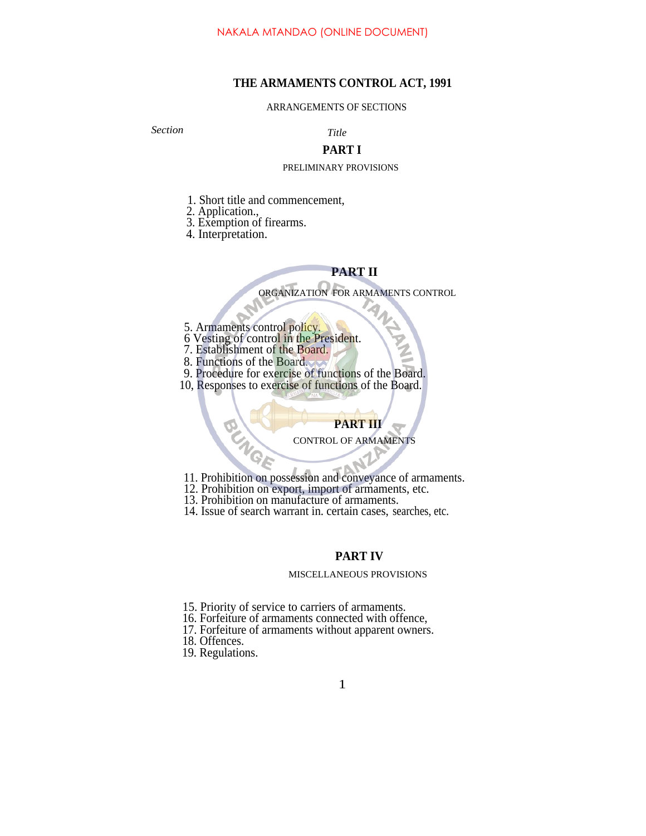# **THE ARMAMENTS CONTROL ACT, 1991**

### ARRANGEMENTS OF SECTIONS

*Section Title*

# **PART I**

## PRELIMINARY PROVISIONS

- 1. Short title and commencement,
- 2. Application.,
- 3. Exemption of firearms.
- 4. Interpretation.

# **PART II**

ORGANIZATION FOR ARMAMENTS CONTROL

- 5. Armaments control policy.
- 6 Vesting of control in the President.
- 7. Establishment of the Board.
- 8. Functions of the Board.
- 9. Procedure for exercise of functions of the Board.
- 10, Responses to exercise of functions of the Board.

# **PART III**

## CONTROL OF ARMAMENTS

- 11. Prohibition on possession and conveyance of armaments.
- 12. Prohibition on export, import of armaments, etc.
- 13. Prohibition on manufacture of armaments.
- 14. Issue of search warrant in. certain cases, searches, etc.

# **PART IV**

### MISCELLANEOUS PROVISIONS

- 15. Priority of service to carriers of armaments.
- 16. Forfeiture of armaments connected with offence,
- 17. Forfeiture of armaments without apparent owners.
- 18. Offences.
- 19. Regulations.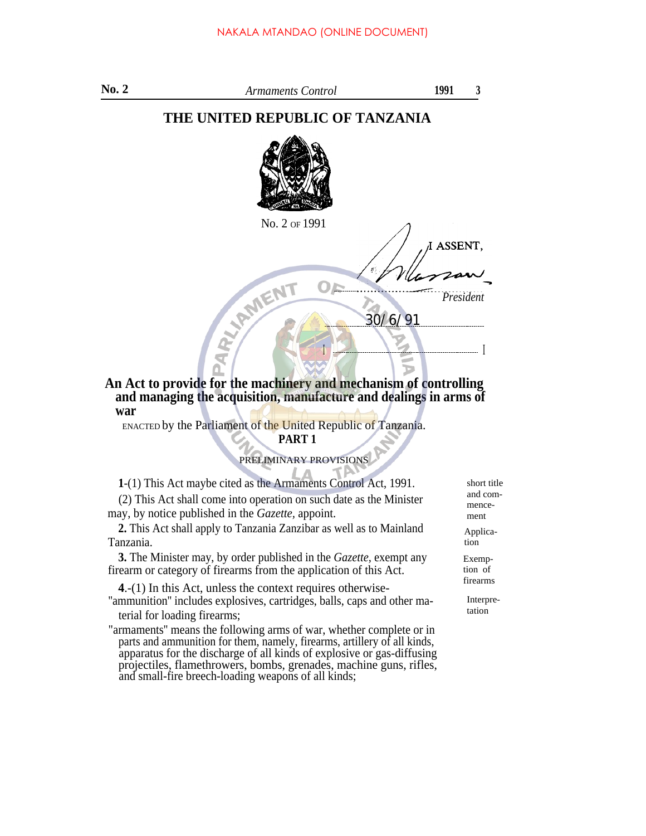| No. 2 | Armaments Control                                                | 1991      | 3 |
|-------|------------------------------------------------------------------|-----------|---|
|       | THE UNITED REPUBLIC OF TANZANIA                                  |           |   |
|       |                                                                  |           |   |
|       | No. 2 of 1991                                                    |           |   |
|       |                                                                  | I ASSENT, |   |
|       |                                                                  |           |   |
|       | MEI                                                              | President |   |
|       | 30/6/91                                                          |           |   |
|       |                                                                  |           |   |
|       |                                                                  |           |   |
|       | An Act to provide for the machinery and mechanism of controlling |           |   |

# **An Act to provide for the machinery and mechanism of controlling and managing the acquisition, manufacture and dealings in arms of war**

ENACTED by the Parliament of the United Republic of Tanzania.

# **PART 1**

PRELIMINARY PROVISIONS

**1**-(1) This Act maybe cited as the Armaments Control Act, 1991. (2) This Act shall come into operation on such date as the Minister may, by notice published in the *Gazette,* appoint.

**2.** This Act shall apply to Tanzania Zanzibar as well as to Mainland Tanzania.

**3.** The Minister may, by order published in the *Gazette,* exempt any firearm or category of firearms from the application of this Act.

**4**.-(1) In this Act, unless the context requires otherwise- ''ammunition'' includes explosives, cartridges, balls, caps and other material for loading firearms;

"armaments'' means the following arms of war, whether complete or in parts and ammunition for them, namely, firearms, artillery of all kinds, apparatus for the discharge of all kinds of explosive or gas-diffusing projectiles, flamethrowers, bombs, grenades, machine guns, rifles, and small-fire breech-loading weapons of all kinds;

short title and commencement

Application

Exemption of firearms

> Interpretation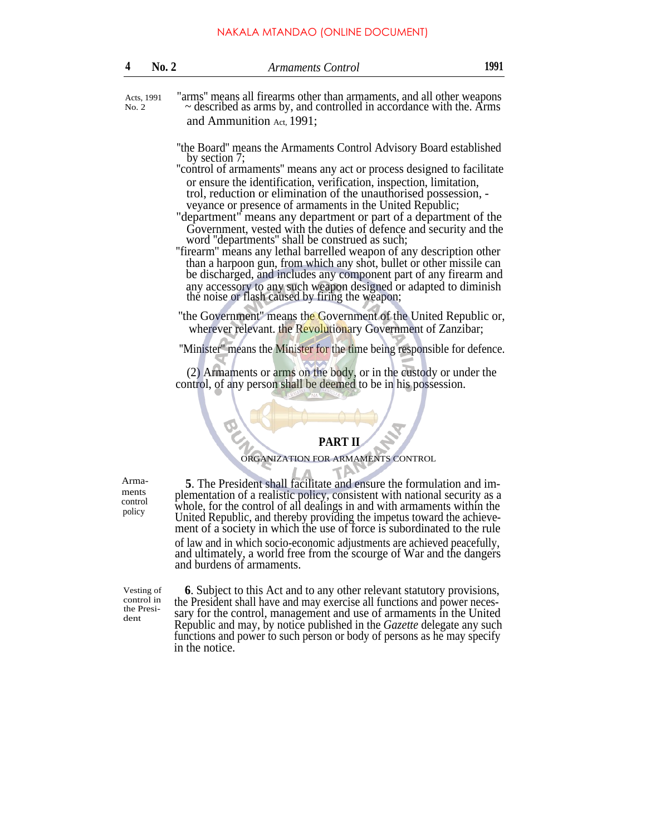| $\overline{4}$ | No. 2      | 1991<br>Armaments Control                                             |  |
|----------------|------------|-----------------------------------------------------------------------|--|
|                | Acts, 1991 | "arms" means all firearms other than armaments, and all other weapons |  |

No. 2

~ described as arms by, and controlled in accordance with the. Arms and Ammunition Act, 1991;

- ''the Board'' means the Armaments Control Advisory Board established by section 7;
- ''control of armaments'' means any act or process designed to facilitate or ensure the identification, verification, inspection, limitation, trol, reduction or elimination of the unauthorised possession, -
- veyance or presence of armaments in the United Republic;
- "department" means any department or part of a department of the Government, vested with the duties of defence and security and the word ''departments'' shall be construed as such;
- ''firearm'' means any lethal barrelled weapon of any description other than a harpoon gun, from which any shot, bullet or other missile can be discharged, and includes any component part of any firearm and any accessory to any such weapon designed or adapted to diminish the noise or flash caused by firing the weapon;
- "the Government" means the Government of the United Republic or, wherever relevant. the Revolutionary Government of Zanzibar;

''Minister'' means the Minister for the time being responsible for defence.

(2) Armaments or arms on the body, or in the custody or under the control, of any person shall be deemed to be in his possession.

# **PART II**

ORGANIZATION FOR ARMAMENTS CONTROL

ments control policy

Arma- **5**. The President shall facilitate and ensure the formulation and implementation of a realistic policy, consistent with national security as a whole, for the control of all dealings in and with armaments within the United Republic, and thereby providing the impetus toward the achievement of a society in which the use of force is subordinated to the rule of law and in which socio-economic adjustments are achieved peacefully, and ultimately, a world free from the scourge of War and the dangers and burdens of armaments.

Vesting of control in the President

**6**. Subject to this Act and to any other relevant statutory provisions, the President shall have and may exercise all functions and power necessary for the control, management and use of armaments in the United Republic and may, by notice published in the *Gazette* delegate any such functions and power to such person or body of persons as he may specify in the notice.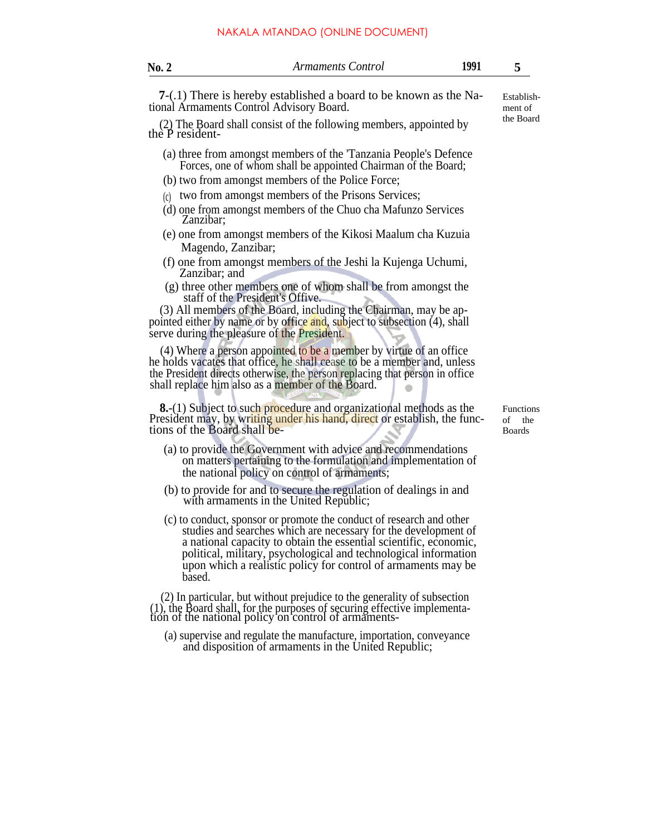|  | NAKALA MTANDAO (ONLINE DOCUMENT). |
|--|-----------------------------------|
|--|-----------------------------------|

| No. 2 | Armaments Control | no |  |
|-------|-------------------|----|--|
|-------|-------------------|----|--|

**7**-(.1) There is hereby established a board to be known as the National Armaments Control Advisory Board.

(2) The Board shall consist of the following members, appointed by the P resident-

- (a) three from amongst members of the 'Tanzania People's Defence Forces, one of whom shall be appointed Chairman of the Board;
- (b) two from amongst members of the Police Force;
- $(c)$  two from amongst members of the Prisons Services;
- (d) one from amongst members of the Chuo cha Mafunzo Services Zanzibar;
- (e) one from amongst members of the Kikosi Maalum cha Kuzuia Magendo, Zanzibar;
- (f) one from amongst members of the Jeshi la Kujenga Uchumi, Zanzibar; and
- (g) three other members one of whom shall be from amongst the staff of the President's Offive.

(3) All members of the Board, including the Chairman, may be appointed either by name or by office and, subject to subsection (4), shall serve during the pleasure of the President.

(4) Where a person appointed to be a member by virtue of an office he holds vacates that office, he shall cease to be a member and, unless the President directs otherwise, the person replacing that person in office shall replace him also as a member of the Board.

**8.**-(1) Subject to such procedure and organizational methods as the President may, by writing under his hand, direct or establish, the functions of the Board shall be-

- (a) to provide the Government with advice and recommendations on matters pertaining to the formulation and implementation of the national policy on control of armaments;
- (b) to provide for and to secure the regulation of dealings in and with armaments in the United Republic;
- (c) to conduct, sponsor or promote the conduct of research and other studies and searches which are necessary for the development of a national capacity to obtain the essential scientific, economic, political, military, psychological and technological information upon which a realistic policy for control of armaments may be based.

(2) In particular, but without prejudice to the generality of subsection (1), the Board shall, for the purposes of securing effective implementa-tion of the national policy on control of armaments-

(a) supervise and regulate the manufacture, importation, conveyance and disposition of armaments in the United Republic;

Functions of the Boards

Establishment of the Board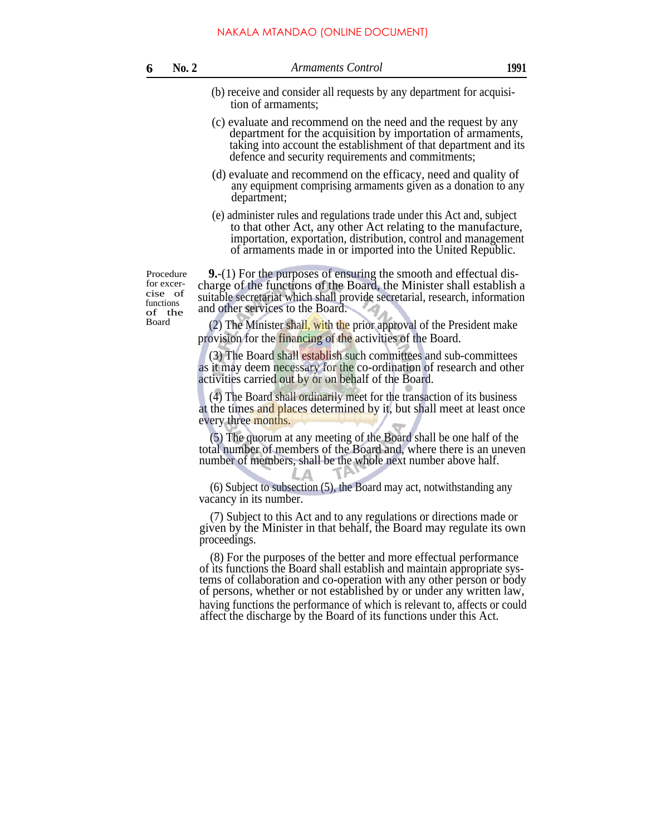- (b) receive and consider all requests by any department for acquisition of armaments;
- (c) evaluate and recommend on the need and the request by any department for the acquisition by importation of armaments, taking into account the establishment of that department and its defence and security requirements and commitments;
- (d) evaluate and recommend on the efficacy, need and quality of any equipment comprising armaments given as a donation to any department;
- (e) administer rules and regulations trade under this Act and, subject to that other Act, any other Act relating to the manufacture, importation, exportation, distribution, control and management of armaments made in or imported into the United Republic.

Procedure for excercise of functions of the

**9.**-(1) For the purposes of ensuring the smooth and effectual discharge of the functions of the Board, the Minister shall establish a suitable secretariat which shall provide secretarial, research, information and other services to the Board.

 $(2)$  The Minister shall, with the prior approval of the President make provision for the financing of the activities of the Board.

(3) The Board shall establish such committees and sub-committees as it may deem necessary for the co-ordination of research and other activities carried out by or on behalf of the Board.

(4) The Board shall ordinarily meet for the transaction of its business at the times and places determined by it, but shall meet at least once every three months.

(5) The quorum at any meeting of the Board shall be one half of the total number of members of the Board and, where there is an uneven number of members, shall be the whole next number above half.

(6) Subject to subsection (5), the Board may act, notwithstanding any vacancy in its number.

(7) Subject to this Act and to any regulations or directions made or given by the Minister in that behalf, the Board may regulate its own proceedings.

(8) For the purposes of the better and more effectual performance of its functions the Board shall establish and maintain appropriate systems of collaboration and co-operation with any other person or body of persons, whether or not established by or under any written law, having functions the performance of which is relevant to, affects or could affect the discharge by the Board of its functions under this Act.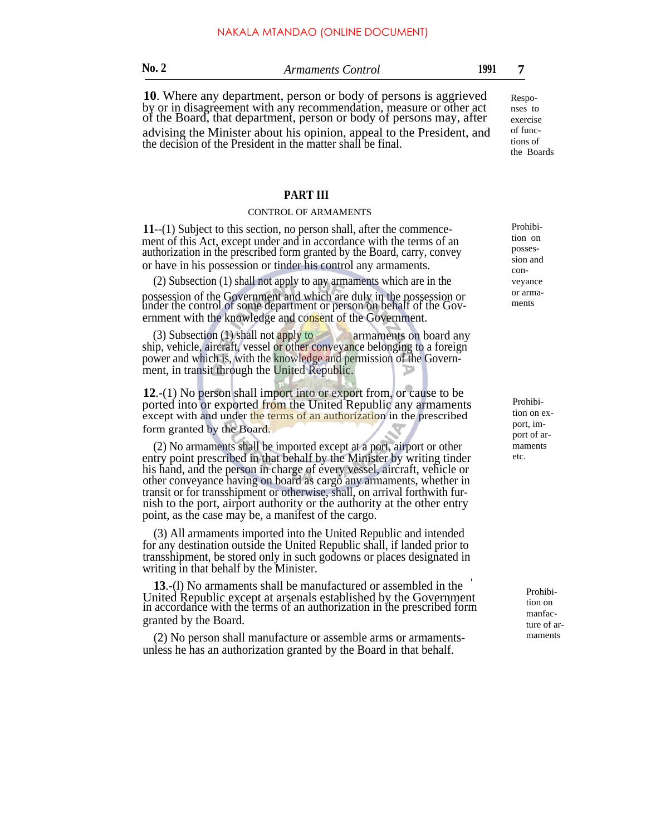| ×<br>$\sim$<br>۰. |  |
|-------------------|--|

**10**. Where any department, person or body of persons is aggrieved by or in disagreement with any recommendation, measure or other act of the Board, that department, person or body of persons may, after

advising the Minister about his opinion, appeal to the President, and the decision of the President in the matter shall be final.

## **PART III**

#### CONTROL OF ARMAMENTS

**11**--(1) Subject to this section, no person shall, after the commencement of this Act, except under and in accordance with the terms of an authorization in the prescribed form granted by the Board, carry, convey or have in his possession or tinder his control any armaments.

(2) Subsection (1) shall not apply to any armaments which are in the possession of the Government and which are duly in the possession or under the control of some department or person on behalf of the Government with the knowledge and consent of the Government.

(3) Subsection (1) shall not apply to armaments on board any ship, vehicle, aircraft, vessel or other conveyance belonging to a foreign power and which is, with the knowledge and permission of the Government, in transit through the United Republic.

**12**.-(1) No person shall import into or export from, or cause to be ported into or exported from the United Republic any armaments except with and under the terms of an authorization in the prescribed form granted by the Board.

(2) No armaments shall be imported except at a port, airport or other entry point prescribed in that behalf by the Minister by writing tinder his hand, and the person in charge of every vessel, aircraft, vehicle or other conveyance having on board as cargo any armaments, whether in transit or for transshipment or otherwise, shall, on arrival forthwith furnish to the port, airport authority or the authority at the other entry point, as the case may be, a manifest of the cargo.

(3) All armaments imported into the United Republic and intended for any destination outside the United Republic shall, if landed prior to transshipment, be stored only in such godowns or places designated in writing in that behalf by the Minister.

I **13**.-(l) No armaments shall be manufactured or assembled in the United Republic except at arsenals established by the Government in accordance with the terms of an authorization in the prescribed form granted by the Board.

(2) No person shall manufacture or assemble arms or armamentsunless he has an authorization granted by the Board in that behalf.

Prohibition on possession and conveyance or armaments

Prohibition on export, import of armaments etc.

> Prohibition on manfacture of armaments

Responses to exercise of functions of the Boards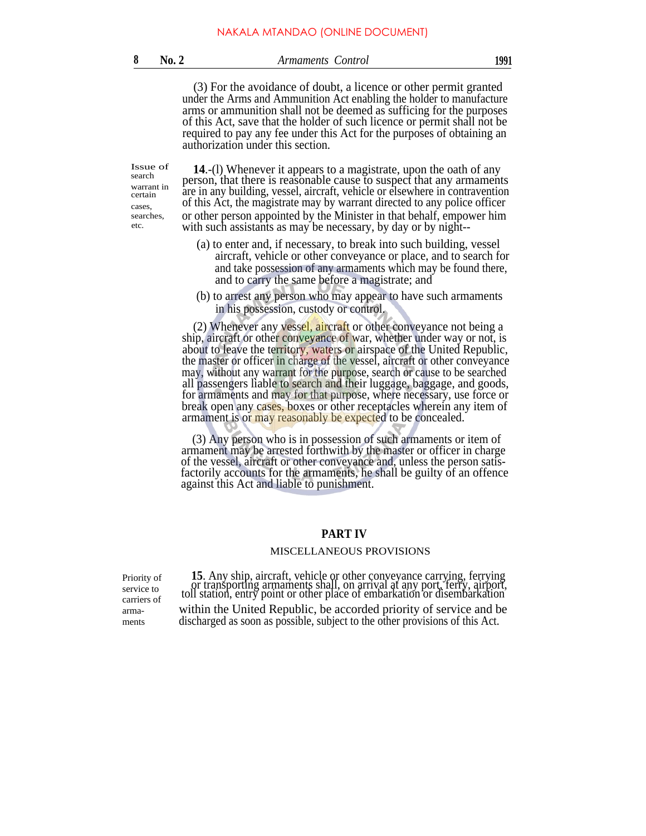### **8 No. 2** *Armaments Control* **1991**

(3) For the avoidance of doubt, a licence or other permit granted under the Arms and Ammunition Act enabling the holder to manufacture arms or ammunition shall not be deemed as sufficing for the purposes of this Act, save that the holder of such licence or permit shall not be required to pay any fee under this Act for the purposes of obtaining an authorization under this section.

Issue of search warrant in certain cases, searches, etc.

**14**.-(l) Whenever it appears to a magistrate, upon the oath of any person, that there is reasonable cause to suspect that any armaments are in any building, vessel, aircraft, vehicle or elsewhere in contravention of this Act, the magistrate may by warrant directed to any police officer or other person appointed by the Minister in that behalf, empower him with such assistants as may be necessary, by day or by night--

- (a) to enter and, if necessary, to break into such building, vessel aircraft, vehicle or other conveyance or place, and to search for and take possession of any armaments which may be found there, and to carry the same before a magistrate; and
- (b) to arrest any person who may appear to have such armaments in his possession, custody or control.

(2) Whenever any vessel, aircraft or other conveyance not being a ship, aircraft or other conveyance of war, whether under way or not, is about to leave the territory, waters or airspace of the United Republic, the master or officer in charge of the vessel, aircraft or other conveyance may, without any warrant for the purpose, search or cause to be searched all passengers liable to search and their luggage, baggage, and goods, for armaments and may for that purpose, where necessary, use force or break open any cases, boxes or other receptacles wherein any item of armament is or may reasonably be expected to be concealed.

(3) Any person who is in possession of such armaments or item of armament may be arrested forthwith by the master or officer in charge of the vessel, aircraft or other conveyance and, unless the person satisfactorily accounts for the armaments, he shall be guilty of an offence against this Act and liable to punishment.

## **PART IV**

#### MISCELLANEOUS PROVISIONS

Priority of service to carriers of armaments

**15**. Any ship, aircraft, vehicle or other conveyance carrying, ferrying or transporting armaments shall, on arrival at any port, ferry, airport, toll station, entry point or other place of embarkation or disembarkation within the United Republic, be accorded priority of service and be discharged as soon as possible, subject to the other provisions of this Act.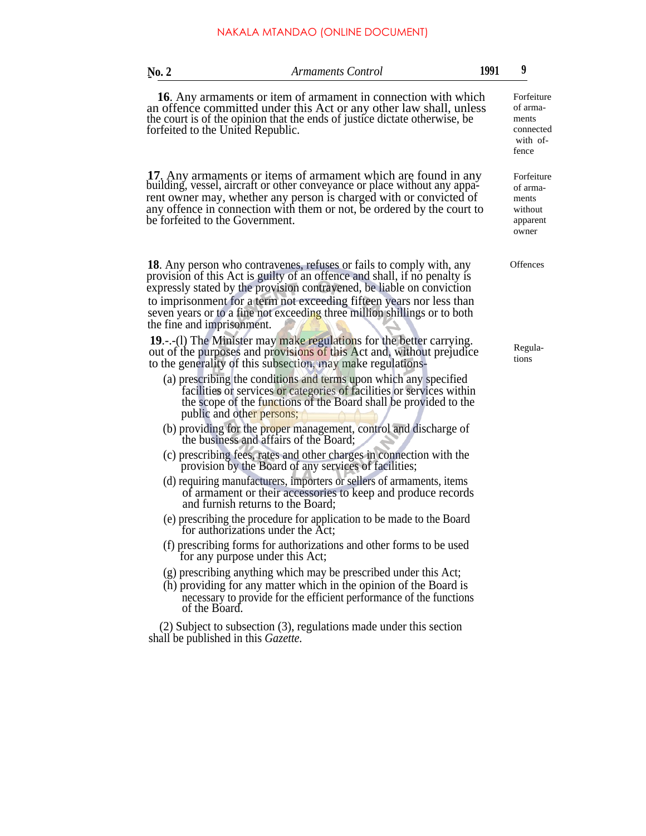| No. 2                             | <b>Armaments Control</b>                                                                                                                                                                                                                                                                                                                                                                | 1991 | 9                                                                 |
|-----------------------------------|-----------------------------------------------------------------------------------------------------------------------------------------------------------------------------------------------------------------------------------------------------------------------------------------------------------------------------------------------------------------------------------------|------|-------------------------------------------------------------------|
| forfeited to the United Republic. | <b>16.</b> Any armaments or item of armament in connection with which<br>an offence committed under this Act or any other law shall, unless<br>the court is of the opinion that the ends of justice dictate otherwise, be                                                                                                                                                               |      | Forfeiture<br>of arma-<br>ments<br>connected<br>with of-<br>fence |
| be forfeited to the Government.   | 17. Any armaments or items of armament which are found in any<br>building, vessel, aircraft or other conveyance or place without any appa-<br>rent owner may, whether any person is charged with or convicted of<br>any offence in connection with them or not, be ordered by the court to                                                                                              |      | Forfeiture<br>of arma-<br>ments<br>without<br>apparent<br>owner   |
| the fine and imprisonment.        | <b>18.</b> Any person who contravenes, refuses or fails to comply with, any<br>provision of this Act is guilty of an offence and shall, if no penalty is<br>expressly stated by the provision contravened, be liable on conviction<br>to imprisonment for a term not exceeding fifteen years nor less than<br>seven years or to a fine not exceeding three million shillings or to both |      | Offences                                                          |
|                                   | <b>19.</b> -.-(1) The Minister may make regulations for the better carrying.<br>out of the purposes and provisions of this Act and, without prejudice<br>to the generality of this subsection, may make regulations-                                                                                                                                                                    |      | Regula-<br>tions                                                  |
|                                   | (a) prescribing the conditions and terms upon which any specified<br>facilities or services or categories of facilities or services within<br>the scope of the functions of the Board shall be provided to the<br>public and other persons;                                                                                                                                             |      |                                                                   |
|                                   | (b) providing for the proper management, control and discharge of<br>the business and affairs of the Board;                                                                                                                                                                                                                                                                             |      |                                                                   |
|                                   | (c) prescribing fees, rates and other charges in connection with the<br>provision by the Board of any services of facilities;                                                                                                                                                                                                                                                           |      |                                                                   |
|                                   | (d) requiring manufacturers, importers or sellers of armaments, items<br>of armament or their accessories to keep and produce records<br>and furnish returns to the Board;                                                                                                                                                                                                              |      |                                                                   |
|                                   | (e) prescribing the procedure for application to be made to the Board<br>for authorizations under the Act;                                                                                                                                                                                                                                                                              |      |                                                                   |
|                                   | (f) prescribing forms for authorizations and other forms to be used<br>for any purpose under this Act;                                                                                                                                                                                                                                                                                  |      |                                                                   |
| of the Board.                     | (g) prescribing anything which may be prescribed under this Act;<br>(h) providing for any matter which in the opinion of the Board is<br>necessary to provide for the efficient performance of the functions                                                                                                                                                                            |      |                                                                   |
|                                   | $(2)$ Subject to subsection $(3)$ , regulations made under this section                                                                                                                                                                                                                                                                                                                 |      |                                                                   |